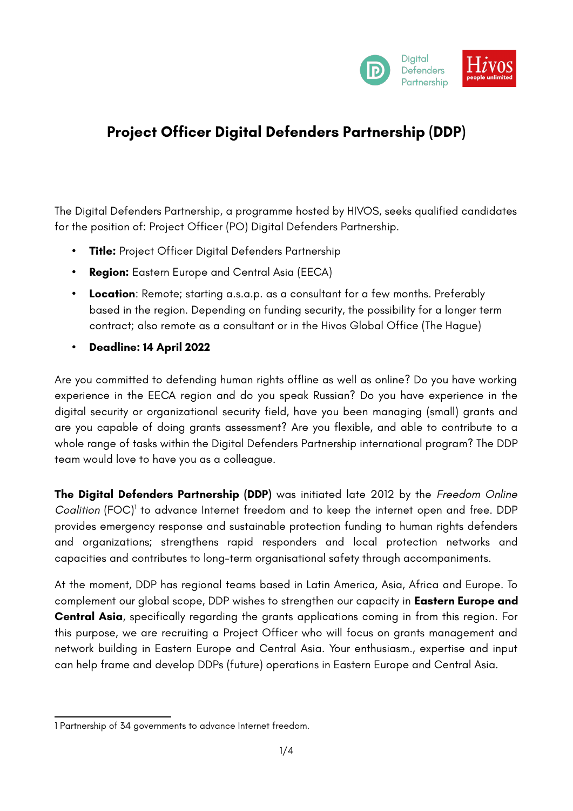

# **Project Officer Digital Defenders Partnership (DDP)**

The Digital Defenders Partnership, a programme hosted by HIVOS, seeks qualified candidates for the position of: Project Officer (PO) Digital Defenders Partnership.

- **Title:** Project Officer Digital Defenders Partnership
- **Region:** Eastern Europe and Central Asia (EECA)
- **Location**: Remote; starting a.s.a.p. as a consultant for a few months. Preferably based in the region. Depending on funding security, the possibility for a longer term contract; also remote as a consultant or in the Hivos Global Office (The Hague)
- **Deadline: 14 April 2022**

Are you committed to defending human rights offline as well as online? Do you have working experience in the EECA region and do you speak Russian? Do you have experience in the digital security or organizational security field, have you been managing (small) grants and are you capable of doing grants assessment? Are you flexible, and able to contribute to a whole range of tasks within the Digital Defenders Partnership international program? The DDP team would love to have you as a colleague.

**The Digital Defenders Partnership (DDP)** was initiated late 2012 by the *Freedom Online* Coalition (FOC)<sup>[1](#page-0-0)</sup> to advance Internet freedom and to keep the internet open and free. DDP provides emergency response and sustainable protection funding to human rights defenders and organizations; strengthens rapid responders and local protection networks and capacities and contributes to long-term organisational safety through accompaniments.

At the moment, DDP has regional teams based in Latin America, Asia, Africa and Europe. To complement our global scope, DDP wishes to strengthen our capacity in **Eastern Europe and Central Asia**, specifically regarding the grants applications coming in from this region. For this purpose, we are recruiting a Project Officer who will focus on grants management and network building in Eastern Europe and Central Asia. Your enthusiasm., expertise and input can help frame and develop DDPs (future) operations in Eastern Europe and Central Asia.

<span id="page-0-0"></span><sup>1</sup> Partnership of 34 governments to advance Internet freedom.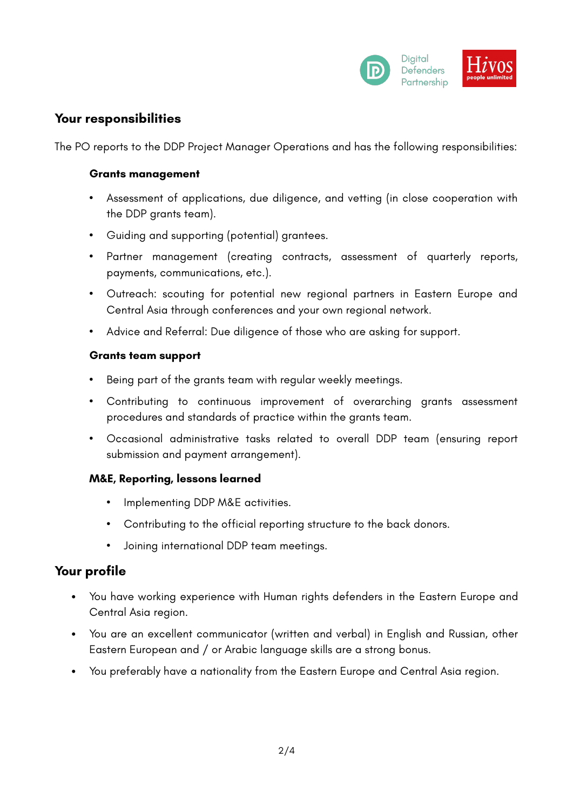

### **Your responsibilities**

The PO reports to the DDP Project Manager Operations and has the following responsibilities:

#### **Grants management**

- Assessment of applications, due diligence, and vetting (in close cooperation with the DDP grants team).
- Guiding and supporting (potential) grantees.
- Partner management (creating contracts, assessment of quarterly reports, payments, communications, etc.).
- Outreach: scouting for potential new regional partners in Eastern Europe and Central Asia through conferences and your own regional network.
- Advice and Referral: Due diligence of those who are asking for support.

#### **Grants team support**

- Being part of the grants team with regular weekly meetings.
- Contributing to continuous improvement of overarching grants assessment procedures and standards of practice within the grants team.
- Occasional administrative tasks related to overall DDP team (ensuring report submission and payment arrangement).

#### **M&E, Reporting, lessons learned**

- Implementing DDP M&E activities.
- Contributing to the official reporting structure to the back donors.
- Joining international DDP team meetings.

### **Your profile**

- You have working experience with Human rights defenders in the Eastern Europe and Central Asia region.
- You are an excellent communicator (written and verbal) in English and Russian, other Eastern European and / or Arabic language skills are a strong bonus.
- You preferably have a nationality from the Eastern Europe and Central Asia region.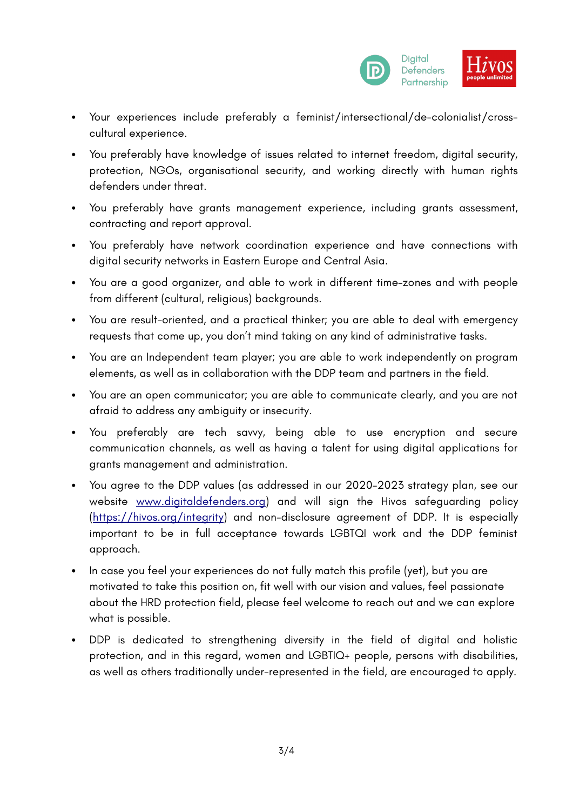

- Your experiences include preferably a feminist/intersectional/de-colonialist/crosscultural experience.
- You preferably have knowledge of issues related to internet freedom, digital security, protection, NGOs, organisational security, and working directly with human rights defenders under threat.
- You preferably have grants management experience, including grants assessment, contracting and report approval.
- You preferably have network coordination experience and have connections with digital security networks in Eastern Europe and Central Asia.
- You are a good organizer, and able to work in different time-zones and with people from different (cultural, religious) backgrounds.
- You are result-oriented, and a practical thinker; you are able to deal with emergency requests that come up, you don't mind taking on any kind of administrative tasks.
- You are an Independent team player; you are able to work independently on program elements, as well as in collaboration with the DDP team and partners in the field.
- You are an open communicator; you are able to communicate clearly, and you are not afraid to address any ambiguity or insecurity.
- You preferably are tech savvy, being able to use encryption and secure communication channels, as well as having a talent for using digital applications for grants management and administration.
- You agree to the DDP values (as addressed in our 2020-2023 strategy plan, see our website [www.digitaldefenders.org](http://www.digitaldefenders.org/)) and will sign the Hivos safeguarding policy [\(https://hivos.org/integrity](https://hivos.org/integrity)) and non-disclosure agreement of DDP. It is especially important to be in full acceptance towards LGBTQI work and the DDP feminist approach.
- In case you feel your experiences do not fully match this profile (yet), but you are motivated to take this position on, fit well with our vision and values, feel passionate about the HRD protection field, please feel welcome to reach out and we can explore what is possible.
- DDP is dedicated to strengthening diversity in the field of digital and holistic protection, and in this regard, women and LGBTIQ+ people, persons with disabilities, as well as others traditionally under-represented in the field, are encouraged to apply.